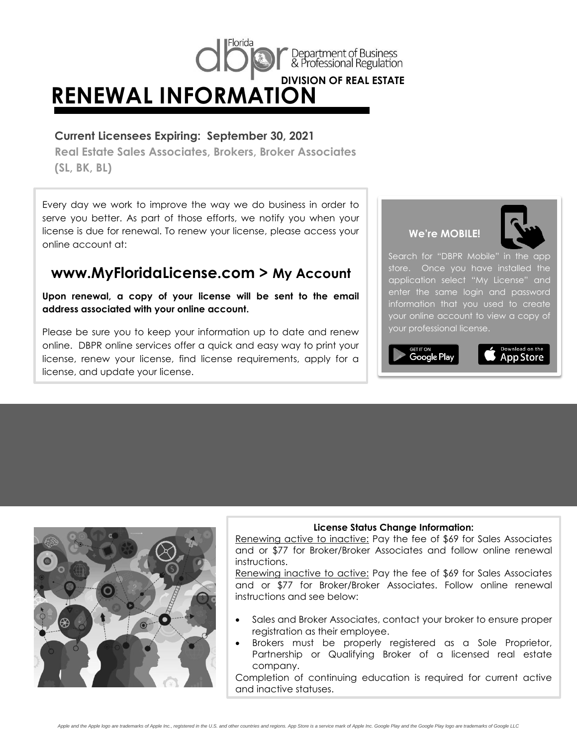

## **Current Licensees Expiring: September 30, 2021**

**Real Estate Sales Associates, Brokers, Broker Associates (SL, BK, BL)**

Every day we work to improve the way we do business in order to serve you better. As part of those efforts, we notify you when your license is due for renewal. To renew your license, please access your online account at:

# **www.MyFloridaLicense.com > My Account**

**Upon renewal, a copy of your license will be sent to the email address associated with your online account.**

Please be sure you to keep your information up to date and renew online. DBPR online services offer a quick and easy way to print your license, renew your license, find license requirements, apply for a license, and update your license.





Search for "DBPR Mobile" in the app store. Once you have installed the application select "My License" and enter the same login and password information that you used to create your online account to view a copy of your professional license.





#### **License Status Change Information:**

and or \$77 for Broker/Broker Associates and follow online renewal<br>instructions.<br>Renewing inactive to active: Pay the fee of \$49 for Sales Associates Renewing active to inactive: Pay the fee of \$69 for Sales Associates instructions.

Renewing inactive to active: Pay the fee of \$69 for Sales Associates and or \$77 for Broker/Broker Associates. Follow online renewal instructions and see below:

- Sales and Broker Associates, contact your broker to ensure proper registration as their employee.
- Brokers must be properly registered as a Sole Proprietor, Partnership or Qualifying Broker of a licensed real estate company.

Completion of continuing education is required for current active and inactive statuses. **NOTE:** If your renewal is *postmarked after* September 30, 2021 or